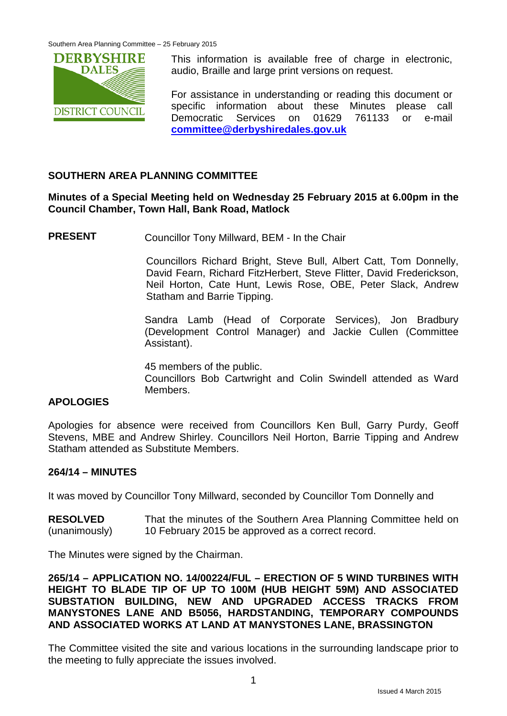

This information is available free of charge in electronic, audio, Braille and large print versions on request.

For assistance in understanding or reading this document or specific information about these Minutes please call Democratic Services on 01629 761133 or e-mail **[committee@derbyshiredales.gov.uk](mailto:committee@derbyshiredales.gov.uk)**

## **SOUTHERN AREA PLANNING COMMITTEE**

## **Minutes of a Special Meeting held on Wednesday 25 February 2015 at 6.00pm in the Council Chamber, Town Hall, Bank Road, Matlock**

**PRESENT** Councillor Tony Millward, BEM - In the Chair

Councillors Richard Bright, Steve Bull, Albert Catt, Tom Donnelly, David Fearn, Richard FitzHerbert, Steve Flitter, David Frederickson, Neil Horton, Cate Hunt, Lewis Rose, OBE, Peter Slack, Andrew Statham and Barrie Tipping.

Sandra Lamb (Head of Corporate Services), Jon Bradbury (Development Control Manager) and Jackie Cullen (Committee Assistant).

45 members of the public. Councillors Bob Cartwright and Colin Swindell attended as Ward Members.

#### **APOLOGIES**

Apologies for absence were received from Councillors Ken Bull, Garry Purdy, Geoff Stevens, MBE and Andrew Shirley. Councillors Neil Horton, Barrie Tipping and Andrew Statham attended as Substitute Members.

#### **264/14 – MINUTES**

It was moved by Councillor Tony Millward, seconded by Councillor Tom Donnelly and

**RESOLVED** (unanimously) That the minutes of the Southern Area Planning Committee held on 10 February 2015 be approved as a correct record.

The Minutes were signed by the Chairman.

**265/14 – APPLICATION NO. 14/00224/FUL – ERECTION OF 5 WIND TURBINES WITH HEIGHT TO BLADE TIP OF UP TO 100M (HUB HEIGHT 59M) AND ASSOCIATED SUBSTATION BUILDING, NEW AND UPGRADED ACCESS TRACKS FROM MANYSTONES LANE AND B5056, HARDSTANDING, TEMPORARY COMPOUNDS AND ASSOCIATED WORKS AT LAND AT MANYSTONES LANE, BRASSINGTON**

The Committee visited the site and various locations in the surrounding landscape prior to the meeting to fully appreciate the issues involved.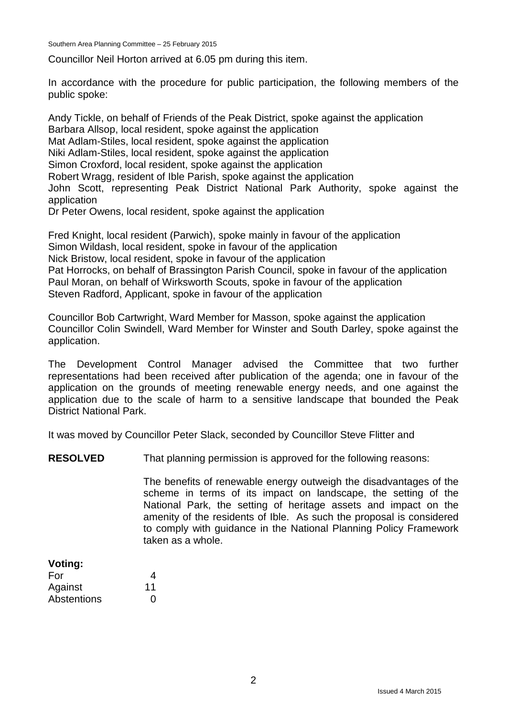Southern Area Planning Committee – 25 February 2015

Councillor Neil Horton arrived at 6.05 pm during this item.

In accordance with the procedure for public participation, the following members of the public spoke:

Andy Tickle, on behalf of Friends of the Peak District, spoke against the application Barbara Allsop, local resident, spoke against the application Mat Adlam-Stiles, local resident, spoke against the application Niki Adlam-Stiles, local resident, spoke against the application Simon Croxford, local resident, spoke against the application Robert Wragg, resident of Ible Parish, spoke against the application John Scott, representing Peak District National Park Authority, spoke against the application Dr Peter Owens, local resident, spoke against the application

Fred Knight, local resident (Parwich), spoke mainly in favour of the application Simon Wildash, local resident, spoke in favour of the application Nick Bristow, local resident, spoke in favour of the application Pat Horrocks, on behalf of Brassington Parish Council, spoke in favour of the application Paul Moran, on behalf of Wirksworth Scouts, spoke in favour of the application Steven Radford, Applicant, spoke in favour of the application

Councillor Bob Cartwright, Ward Member for Masson, spoke against the application Councillor Colin Swindell, Ward Member for Winster and South Darley, spoke against the application.

The Development Control Manager advised the Committee that two further representations had been received after publication of the agenda; one in favour of the application on the grounds of meeting renewable energy needs, and one against the application due to the scale of harm to a sensitive landscape that bounded the Peak District National Park.

It was moved by Councillor Peter Slack, seconded by Councillor Steve Flitter and

**RESOLVED** That planning permission is approved for the following reasons:

The benefits of renewable energy outweigh the disadvantages of the scheme in terms of its impact on landscape, the setting of the National Park, the setting of heritage assets and impact on the amenity of the residents of Ible. As such the proposal is considered to comply with guidance in the National Planning Policy Framework taken as a whole.

| Voting:     |                   |
|-------------|-------------------|
| For         | 4                 |
| Against     | 11                |
| Abstentions | $\mathbf{\Omega}$ |